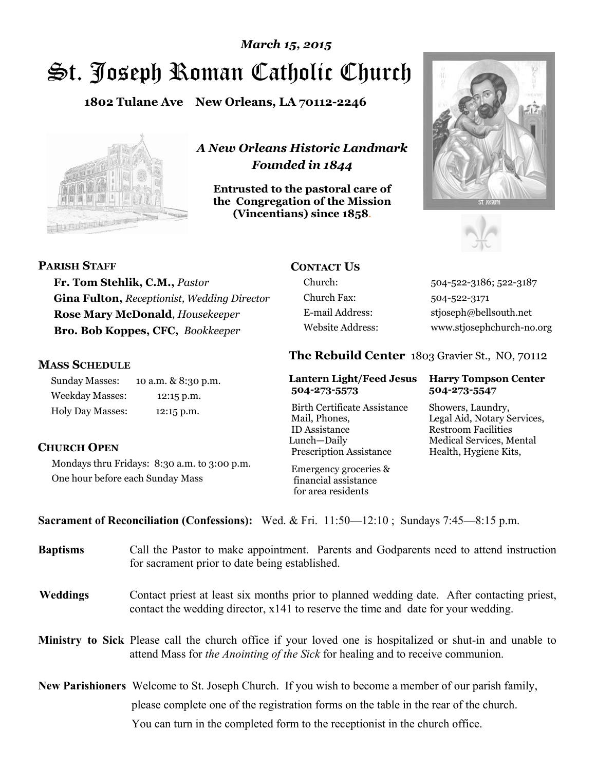# St. Joseph Roman Catholic Church *March 15, 2015*

**1802 Tulane Ave New Orleans, LA 70112-2246**



*A New Orleans Historic Landmark Founded in 1844* 

**Entrusted to the pastoral care of the Congregation of the Mission (Vincentians) since 1858**.





#### **PARISH STAFF**

**Fr. Tom Stehlik, C.M.,** *Pastor*  **Gina Fulton,** *Receptionist, Wedding Director* **Rose Mary McDonald**, *Housekeeper*  **Bro. Bob Koppes, CFC,** *Bookkeeper* 

#### **MASS SCHEDULE**

**CHURCH OPEN**

Sunday Masses: 10 a.m. & 8:30 p.m. Weekday Masses: 12:15 p.m. Holy Day Masses: 12:15 p.m.

One hour before each Sunday Mass

Mondays thru Fridays: 8:30 a.m. to 3:00 p.m.

## **CONTACT US**

Church Fax: 504-522-3171

Church: 504-522-3186; 522-3187 E-mail Address: stjoseph@bellsouth.net Website Address: www.stjosephchurch-no.org

### **The Rebuild Center** 1803 Gravier St., NO, 70112

#### **Lantern Light/Feed Jesus Harry Tompson Center 504-273-5573 504-273-5547**

Birth Certificate Assistance Showers, Laundry, Mail, Phones, Legal Aid, Notary Services, ID Assistance Restroom Facilities Lunch—Daily Medical Services, Mental Prescription Assistance Health, Hygiene Kits,

 Emergency groceries & financial assistance for area residents

**Sacrament of Reconciliation (Confessions):** Wed. & Fri. 11:50—12:10 ; Sundays 7:45—8:15 p.m.

| <b>Baptisms</b> | Call the Pastor to make appointment. Parents and Godparents need to attend instruction<br>for sacrament prior to date being established.                                                     |
|-----------------|----------------------------------------------------------------------------------------------------------------------------------------------------------------------------------------------|
| <b>Weddings</b> | Contact priest at least six months prior to planned wedding date. After contacting priest,<br>contact the wedding director, $x141$ to reserve the time and date for your wedding.            |
|                 | Ministry to Sick Please call the church office if your loved one is hospitalized or shut-in and unable to<br>attend Mass for the Anointing of the Sick for healing and to receive communion. |
|                 | <b>New Parishioners</b> Welcome to St. Joseph Church. If you wish to become a member of our parish family,                                                                                   |
|                 | please complete one of the registration forms on the table in the rear of the church.                                                                                                        |
|                 | You can turn in the completed form to the reception is the church office.                                                                                                                    |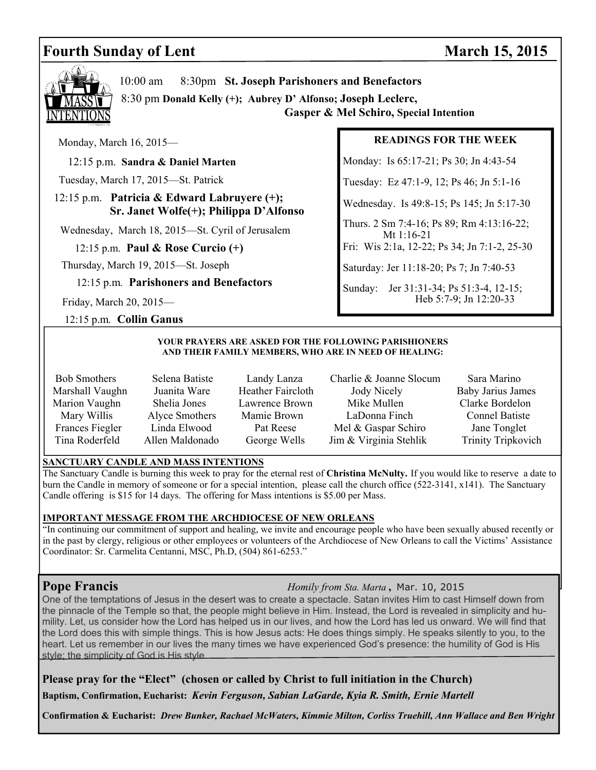## **Fourth Sunday of Lent** March 15, 2015



10:00 am 8:30pm **St. Joseph Parishoners and Benefactors**

 8:30 pm **Donald Kelly (+); Aubrey D' Alfonso; Joseph Leclerc, Gasper & Mel Schiro, Special Intention**

Monday, March 16, 2015—

12:15 p.m. **Sandra & Daniel Marten** 

Tuesday, March 17, 2015—St. Patrick

 12:15 p.m. **Patricia & Edward Labruyere (+); Sr. Janet Wolfe(+); Philippa D'Alfonso** 

Wednesday, March 18, 2015—St. Cyril of Jerusalem

12:15 p.m. **Paul & Rose Curcio (+)** 

Thursday, March 19, 2015—St. Joseph

12:15 p.m*.* **Parishoners and Benefactors**

Friday, March 20, 2015—

12:15 p.m*.* **Collin Ganus** 

#### **READINGS FOR THE WEEK**

Monday: Is 65:17-21; Ps 30; Jn 4:43-54

Tuesday: Ez 47:1-9, 12; Ps 46; Jn 5:1-16

Wednesday. Is 49:8-15; Ps 145; Jn 5:17-30

Thurs. 2 Sm 7:4-16; Ps 89; Rm 4:13:16-22; Mt 1:16-21

Fri: Wis 2:1a, 12-22; Ps 34; Jn 7:1-2, 25-30

Saturday: Jer 11:18-20; Ps 7; Jn 7:40-53

Sunday: Jer 31:31-34; Ps 51:3-4, 12-15; Heb 5:7-9; Jn 12:20-33

#### **YOUR PRAYERS ARE ASKED FOR THE FOLLOWING PARISHIONERS AND THEIR FAMILY MEMBERS, WHO ARE IN NEED OF HEALING:**

- 
- Bob Smothers Selena Batiste Landy Lanza Charlie & Joanne Slocum Sara Marino Marshall Vaughn Juanita Ware Heather Faircloth Jody Nicely Baby Jarius James Marion Vaughn Shelia Jones Lawrence Brown Mike Mullen Clarke Bordelon Mary Willis Alyce Smothers Mamie Brown LaDonna Finch Connel Batiste Frances Fiegler Linda Elwood Pat Reese Mel & Gaspar Schiro Jane Tonglet Tina Roderfeld Allen Maldonado George Wells Jim & Virginia Stehlik Trinity Tripkovich
	-

#### **SANCTUARY CANDLE AND MASS INTENTIONS**

The Sanctuary Candle is burning this week to pray for the eternal rest of **Christina McNulty.** If you would like to reserve a date to burn the Candle in memory of someone or for a special intention, please call the church office (522-3141, x141). The Sanctuary Candle offering is \$15 for 14 days. The offering for Mass intentions is \$5.00 per Mass.

#### **IMPORTANT MESSAGE FROM THE ARCHDIOCESE OF NEW ORLEANS**

"In continuing our commitment of support and healing, we invite and encourage people who have been sexually abused recently or in the past by clergy, religious or other employees or volunteers of the Archdiocese of New Orleans to call the Victims' Assistance Coordinator: Sr. Carmelita Centanni, MSC, Ph.D, (504) 861-6253."

**Pope Francis** *Homily from Sta. Marta* **,** Mar. 10, 2015

One of the temptations of Jesus in the desert was to create a spectacle. Satan invites Him to cast Himself down from the pinnacle of the Temple so that, the people might believe in Him. Instead, the Lord is revealed in simplicity and humility. Let, us consider how the Lord has helped us in our lives, and how the Lord has led us onward. We will find that the Lord does this with simple things. This is how Jesus acts: He does things simply. He speaks silently to you, to the heart. Let us remember in our lives the many times we have experienced God's presence: the humility of God is His style; the simplicity of God is His style.

**Please pray for the "Elect" (chosen or called by Christ to full initiation in the Church) Baptism, Confirmation, Eucharist:** *Kevin Ferguson, Sabian LaGarde, Kyia R. Smith, Ernie Martell*

**Confirmation & Eucharist:** *Drew Bunker, Rachael McWaters, Kimmie Milton, Corliss Truehill, Ann Wallace and Ben Wright*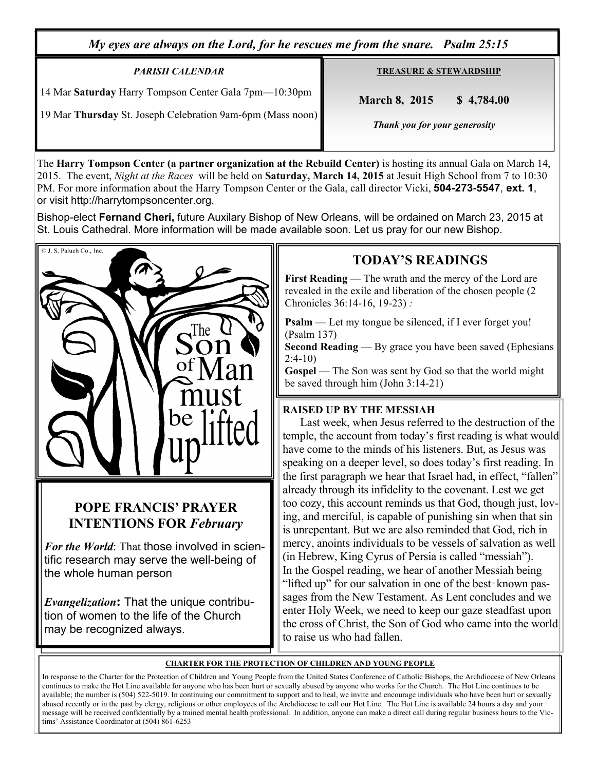*My eyes are always on the Lord, for he rescues me from the snare. Psalm 25:15* 

### *PARISH CALENDAR*

14 Mar **Saturday** Harry Tompson Center Gala 7pm—10:30pm

19 Mar **Thursday** St. Joseph Celebration 9am-6pm (Mass noon)

**TREASURE & STEWARDSHIP**

 **March 8, 2015 \$ 4,784.00** 

 *Thank you for your generosity* 

The **Harry Tompson Center (a partner organization at the Rebuild Center)** is hosting its annual Gala on March 14, 2015. The event, *Night at the Races* will be held on **Saturday, March 14, 2015** at Jesuit High School from 7 to 10:30 PM. For more information about the Harry Tompson Center or the Gala, call director Vicki, **504-273-5547**, **ext. 1**, or visit http://harrytompsoncenter.org.

Bishop-elect **Fernand Cheri,** future Auxilary Bishop of New Orleans, will be ordained on March 23, 2015 at St. Louis Cathedral. More information will be made available soon. Let us pray for our new Bishop.



## **POPE FRANCIS' PRAYER INTENTIONS FOR** *February*

*For the World*: That those involved in scientific research may serve the well-being of the whole human person

*Evangelization***:** That the unique contribution of women to the life of the Church may be recognized always.

## **TODAY'S READINGS**

**First Reading** — The wrath and the mercy of the Lord are revealed in the exile and liberation of the chosen people (2 Chronicles 36:14-16, 19-23) *:* 

**Psalm** — Let my tongue be silenced, if I ever forget you! (Psalm 137)

**Second Reading** — By grace you have been saved (Ephesians 2:4-10)

**Gospel** — The Son was sent by God so that the world might be saved through him (John 3:14-21)

## **RAISED UP BY THE MESSIAH**

Last week, when Jesus referred to the destruction of the temple, the account from today's first reading is what would have come to the minds of his listeners. But, as Jesus was speaking on a deeper level, so does today's first reading. In the first paragraph we hear that Israel had, in effect, "fallen" already through its infidelity to the covenant. Lest we get too cozy, this account reminds us that God, though just, loving, and merciful, is capable of punishing sin when that sin is unrepentant. But we are also reminded that God, rich in mercy, anoints individuals to be vessels of salvation as well (in Hebrew, King Cyrus of Persia is called "messiah"). In the Gospel reading, we hear of another Messiah being "lifted up" for our salvation in one of the best‑known passages from the New Testament. As Lent concludes and we enter Holy Week, we need to keep our gaze steadfast upon the cross of Christ, the Son of God who came into the world to raise us who had fallen.

#### **CHARTER FOR THE PROTECTION OF CHILDREN AND YOUNG PEOPLE**

In response to the Charter for the Protection of Children and Young People from the United States Conference of Catholic Bishops, the Archdiocese of New Orleans continues to make the Hot Line available for anyone who has been hurt or sexually abused by anyone who works for the Church. The Hot Line continues to be available; the number is (504) 522-5019. In continuing our commitment to support and to heal, we invite and encourage individuals who have been hurt or sexually abused recently or in the past by clergy, religious or other employees of the Archdiocese to call our Hot Line. The Hot Line is available 24 hours a day and your message will be received confidentially by a trained mental health professional. In addition, anyone can make a direct call during regular business hours to the Victims' Assistance Coordinator at (504) 861-6253